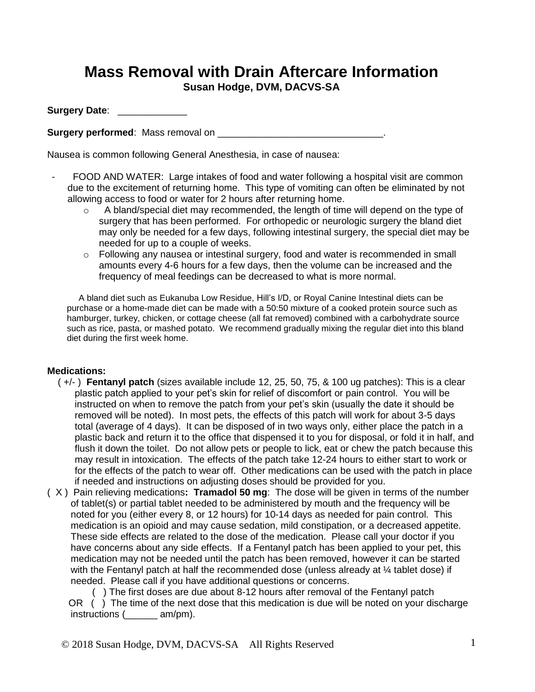# **Mass Removal with Drain Aftercare Information**

**Susan Hodge, DVM, DACVS-SA**

**Surgery Date**: \_\_\_\_\_\_\_\_\_\_\_\_\_

**Surgery performed**: Mass removal on \_\_\_\_\_\_\_\_\_\_\_\_\_\_\_\_\_\_\_\_\_\_\_\_\_\_\_\_\_\_\_.

Nausea is common following General Anesthesia, in case of nausea:

- FOOD AND WATER: Large intakes of food and water following a hospital visit are common due to the excitement of returning home. This type of vomiting can often be eliminated by not allowing access to food or water for 2 hours after returning home.
	- $\circ$  A bland/special diet may recommended, the length of time will depend on the type of surgery that has been performed. For orthopedic or neurologic surgery the bland diet may only be needed for a few days, following intestinal surgery, the special diet may be needed for up to a couple of weeks.
	- o Following any nausea or intestinal surgery, food and water is recommended in small amounts every 4-6 hours for a few days, then the volume can be increased and the frequency of meal feedings can be decreased to what is more normal.

A bland diet such as Eukanuba Low Residue, Hill's I/D, or Royal Canine Intestinal diets can be purchase or a home-made diet can be made with a 50:50 mixture of a cooked protein source such as hamburger, turkey, chicken, or cottage cheese (all fat removed) combined with a carbohydrate source such as rice, pasta, or mashed potato. We recommend gradually mixing the regular diet into this bland diet during the first week home.

#### **Medications:**

- ( +/- ) **Fentanyl patch** (sizes available include 12, 25, 50, 75, & 100 ug patches): This is a clear plastic patch applied to your pet's skin for relief of discomfort or pain control. You will be instructed on when to remove the patch from your pet's skin (usually the date it should be removed will be noted). In most pets, the effects of this patch will work for about 3-5 days total (average of 4 days). It can be disposed of in two ways only, either place the patch in a plastic back and return it to the office that dispensed it to you for disposal, or fold it in half, and flush it down the toilet. Do not allow pets or people to lick, eat or chew the patch because this may result in intoxication. The effects of the patch take 12-24 hours to either start to work or for the effects of the patch to wear off. Other medications can be used with the patch in place if needed and instructions on adjusting doses should be provided for you.
- ( X ) Pain relieving medications**: Tramadol 50 mg**: The dose will be given in terms of the number of tablet(s) or partial tablet needed to be administered by mouth and the frequency will be noted for you (either every 8, or 12 hours) for 10-14 days as needed for pain control. This medication is an opioid and may cause sedation, mild constipation, or a decreased appetite. These side effects are related to the dose of the medication. Please call your doctor if you have concerns about any side effects. If a Fentanyl patch has been applied to your pet, this medication may not be needed until the patch has been removed, however it can be started with the Fentanyl patch at half the recommended dose (unless already at  $\frac{1}{4}$  tablet dose) if needed. Please call if you have additional questions or concerns.

 ( ) The first doses are due about 8-12 hours after removal of the Fentanyl patch OR ( ) The time of the next dose that this medication is due will be noted on your discharge instructions (\_\_\_\_\_\_ am/pm).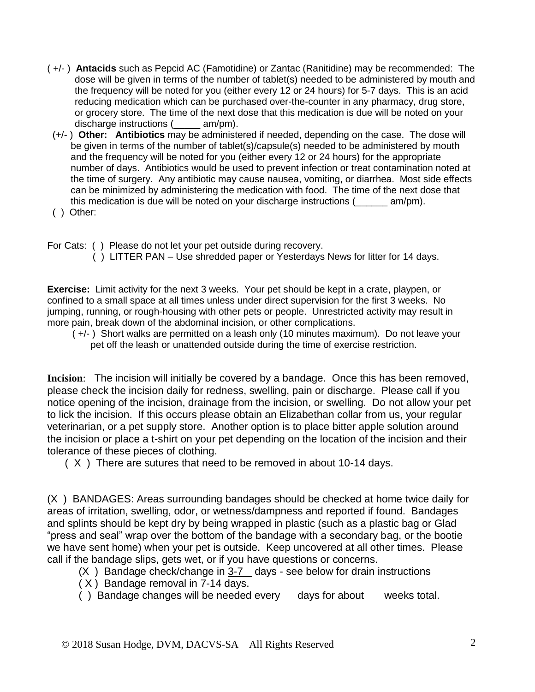- ( +/- ) **Antacids** such as Pepcid AC (Famotidine) or Zantac (Ranitidine) may be recommended:The dose will be given in terms of the number of tablet(s) needed to be administered by mouth and the frequency will be noted for you (either every 12 or 24 hours) for 5-7 days. This is an acid reducing medication which can be purchased over-the-counter in any pharmacy, drug store, or grocery store. The time of the next dose that this medication is due will be noted on your discharge instructions (\_\_\_\_\_ am/pm).
- (+/- ) **Other: Antibiotics** may be administered if needed, depending on the case. The dose will be given in terms of the number of tablet(s)/capsule(s) needed to be administered by mouth and the frequency will be noted for you (either every 12 or 24 hours) for the appropriate number of days. Antibiotics would be used to prevent infection or treat contamination noted at the time of surgery. Any antibiotic may cause nausea, vomiting, or diarrhea. Most side effects can be minimized by administering the medication with food. The time of the next dose that this medication is due will be noted on your discharge instructions  $($  am/pm).
- ( ) Other:

For Cats: ( ) Please do not let your pet outside during recovery.

( ) LITTER PAN – Use shredded paper or Yesterdays News for litter for 14 days.

**Exercise:** Limit activity for the next 3 weeks. Your pet should be kept in a crate, playpen, or confined to a small space at all times unless under direct supervision for the first 3 weeks. No jumping, running, or rough-housing with other pets or people. Unrestricted activity may result in more pain, break down of the abdominal incision, or other complications.

 ( +/- ) Short walks are permitted on a leash only (10 minutes maximum). Do not leave your pet off the leash or unattended outside during the time of exercise restriction.

**Incision**: The incision will initially be covered by a bandage. Once this has been removed, please check the incision daily for redness, swelling, pain or discharge. Please call if you notice opening of the incision, drainage from the incision, or swelling. Do not allow your pet to lick the incision. If this occurs please obtain an Elizabethan collar from us, your regular veterinarian, or a pet supply store. Another option is to place bitter apple solution around the incision or place a t-shirt on your pet depending on the location of the incision and their tolerance of these pieces of clothing.

( X ) There are sutures that need to be removed in about 10-14 days.

(X ) BANDAGES: Areas surrounding bandages should be checked at home twice daily for areas of irritation, swelling, odor, or wetness/dampness and reported if found. Bandages and splints should be kept dry by being wrapped in plastic (such as a plastic bag or Glad "press and seal" wrap over the bottom of the bandage with a secondary bag, or the bootie we have sent home) when your pet is outside. Keep uncovered at all other times. Please call if the bandage slips, gets wet, or if you have questions or concerns.

- $(X)$  Bandage check/change in  $3-7$  days see below for drain instructions
- ( X ) Bandage removal in 7-14 days.
- ( ) Bandage changes will be needed every days for about weeks total.